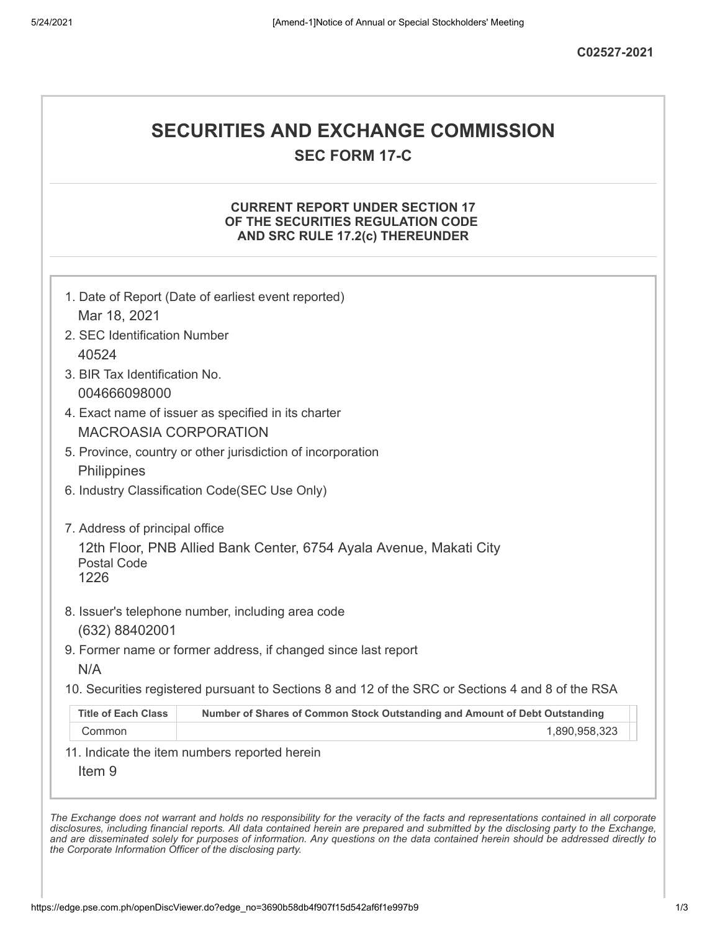# **SECURITIES AND EXCHANGE COMMISSION**

**SEC FORM 17-C**

#### **CURRENT REPORT UNDER SECTION 17 OF THE SECURITIES REGULATION CODE AND SRC RULE 17.2(c) THEREUNDER**

|                                | 1. Date of Report (Date of earliest event reported)                                               |
|--------------------------------|---------------------------------------------------------------------------------------------------|
| Mar 18, 2021                   |                                                                                                   |
| 2. SEC Identification Number   |                                                                                                   |
| 40524                          |                                                                                                   |
| 3. BIR Tax Identification No.  |                                                                                                   |
| 004666098000                   |                                                                                                   |
|                                | 4. Exact name of issuer as specified in its charter                                               |
| <b>MACROASIA CORPORATION</b>   |                                                                                                   |
|                                | 5. Province, country or other jurisdiction of incorporation                                       |
| Philippines                    |                                                                                                   |
|                                | 6. Industry Classification Code(SEC Use Only)                                                     |
| 7. Address of principal office |                                                                                                   |
| <b>Postal Code</b><br>1226     | 12th Floor, PNB Allied Bank Center, 6754 Ayala Avenue, Makati City                                |
| (632) 88402001                 | 8. Issuer's telephone number, including area code                                                 |
| N/A                            | 9. Former name or former address, if changed since last report                                    |
|                                | 10. Securities registered pursuant to Sections 8 and 12 of the SRC or Sections 4 and 8 of the RSA |
| <b>Title of Each Class</b>     | Number of Shares of Common Stock Outstanding and Amount of Debt Outstanding                       |
| Common                         | 1,890,958,323                                                                                     |
|                                | 11. Indicate the item numbers reported herein                                                     |
| Item <sub>9</sub>              |                                                                                                   |

disclosures, including financial reports. All data contained herein are prepared and submitted by the disclosing party to the Exchange, and are disseminated solely for purposes of information. Any questions on the data contained herein should be addressed directly to *the Corporate Information Officer of the disclosing party.*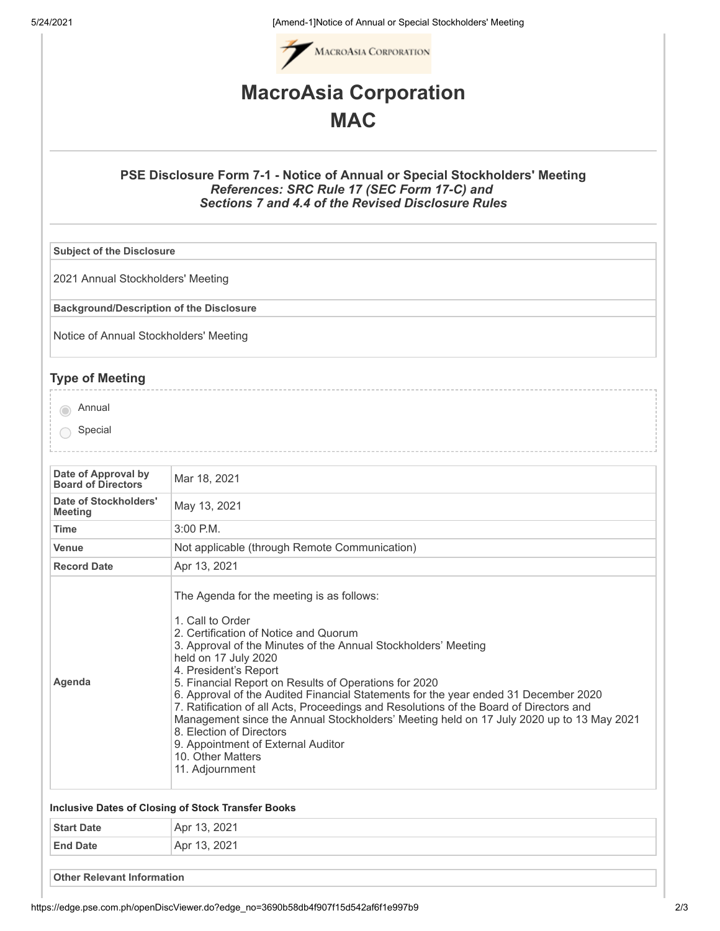5/24/2021 [Amend-1]Notice of Annual or Special Stockholders' Meeting



## **MacroAsia Corporation MAC**

#### **PSE Disclosure Form 7-1 - Notice of Annual or Special Stockholders' Meeting** *References: SRC Rule 17 (SEC Form 17-C) and Sections 7 and 4.4 of the Revised Disclosure Rules*

**Subject of the Disclosure**

2021 Annual Stockholders' Meeting

**Background/Description of the Disclosure**

Notice of Annual Stockholders' Meeting

### **Type of Meeting**

annual

- Special
- **Date of Approval by Board of Directors** Mar 18, <sup>2021</sup> **Date of Stockholders' Meeting** May 13, <sup>2021</sup> **Time** 3:00 P.M. **Venue** Not applicable (through Remote Communication) **Record Date** Apr 13, 2021 **Agenda** The Agenda for the meeting is as follows: 1. Call to Order 2. Certification of Notice and Quorum 3. Approval of the Minutes of the Annual Stockholders' Meeting held on 17 July 2020 4. President's Report 5. Financial Report on Results of Operations for 2020 6. Approval of the Audited Financial Statements for the year ended 31 December 2020 7. Ratification of all Acts, Proceedings and Resolutions of the Board of Directors and Management since the Annual Stockholders' Meeting held on 17 July 2020 up to 13 May 2021 8. Election of Directors 9. Appointment of External Auditor 10. Other Matters 11. Adjournment

#### **Inclusive Dates of Closing of Stock Transfer Books**

| <b>Start Date</b> | 2021<br>$^{\circ}$ Apr 13,               |
|-------------------|------------------------------------------|
| <b>End Date</b>   | 2021<br>Apr 1<br>$\overline{\mathsf{v}}$ |
|                   |                                          |

**Other Relevant Information**